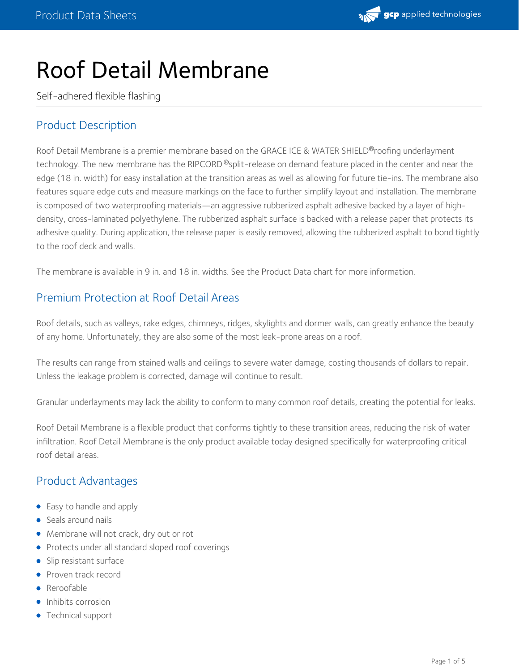

# Roof Detail Membrane

Self-adhered flexible flashing

## Product Description

Roof Detail Membrane is a premier membrane based on the GRACE ICE & WATER SHIELD®roofing underlayment technology. The new membrane has the RIPCORD ®split-release on demand feature placed in the center and near the edge (18 in. width) for easy installation at the transition areas as well as allowing for future tie-ins. The membrane also features square edge cuts and measure markings on the face to further simplify layout and installation. The membrane is composed of two waterproofing materials—an aggressive rubberized asphalt adhesive backed by a layer of high density, cross-laminated polyethylene. The rubberized asphalt surface is backed with a release paper that protects its adhesive quality. During application, the release paper is easily removed, allowing the rubberized asphalt to bond tightly to the roof deck and walls.

The membrane is available in 9 in. and 18 in. widths. See the Product Data chart for more information.

## Premium Protection at Roof Detail Areas

Roof details, such as valleys, rake edges, chimneys, ridges, skylights and dormer walls, can greatly enhance the beauty of any home. Unfortunately, they are also some of the most leak-prone areas on a roof.

The results can range from stained walls and ceilings to severe water damage, costing thousands of dollars to repair. Unless the leakage problem is corrected, damage will continue to result.

Granular underlayments may lack the ability to conform to many common roof details, creating the potential for leaks.

Roof Detail Membrane is a flexible product that conforms tightly to these transition areas, reducing the risk of water infiltration. Roof Detail Membrane is the only product available today designed specifically for waterproofing critical roof detail areas.

### Product Advantages

- Easy to handle and apply
- Seals around nails
- Membrane will not crack, dry out or rot
- Protects under all standard sloped roof coverings
- Slip resistant surface
- Proven track record
- **•** Reroofable
- Inhibits corrosion
- Technical support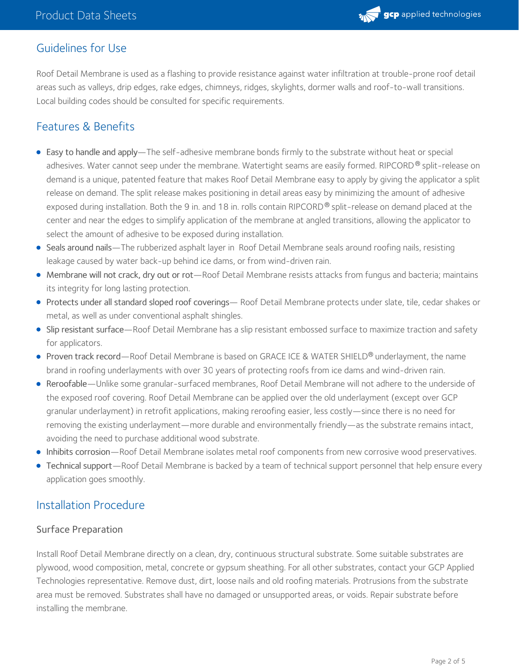

## Guidelines for Use

Roof Detail Membrane is used as a flashing to provide resistance against water infiltration at trouble-prone roof detail areas such as valleys, drip edges, rake edges, chimneys, ridges, skylights, dormer walls and roof-to-wall transitions. Local building codes should be consulted for specific requirements.

## Features & Benefits

- Easy to handle and apply—The self-adhesive membrane bonds firmly to the substrate without heat or special adhesives. Water cannot seep under the membrane. Watertight seams are easily formed. RIPCORD® split-release on demand is a unique, patented feature that makes Roof Detail Membrane easy to apply by giving the applicator a split release on demand. The split release makes positioning in detail areas easy by minimizing the amount of adhesive exposed during installation. Both the 9 in. and 18 in. rolls contain RIPCORD  $^\circ$  split-release on demand placed at the center and near the edges to simplify application of the membrane at angled transitions, allowing the applicator to select the amount of adhesive to be exposed during installation.
- Seals around nails—The rubberized asphalt layer in Roof Detail Membrane seals around roofing nails, resisting leakage caused by water back-up behind ice dams, or from wind-driven rain.
- Membrane will not crack, dry out or rot—Roof Detail Membrane resists attacks from fungus and bacteria; maintains its integrity for long lasting protection.
- Protects under all standard sloped roof coverings— Roof Detail Membrane protects under slate, tile, cedar shakes or metal, as well as under conventional asphalt shingles.
- Slip resistant surface—Roof Detail Membrane has a slip resistant embossed surface to maximize traction and safety for applicators.
- **Proven track record—Roof Detail Membrane is based on GRACE ICE & WATER SHIELD® underlayment, the name** brand in roofing underlayments with over 30 years of protecting roofs from ice dams and wind-driven rain.
- Reroofable—Unlike some granular-surfaced membranes, Roof Detail Membrane will not adhere to the underside of the exposed roof covering. Roof Detail Membrane can be applied over the old underlayment (except over GCP granular underlayment) in retrofit applications, making reroofing easier, less costly—since there is no need for removing the existing underlayment—more durable and environmentally friendly—as the substrate remains intact, avoiding the need to purchase additional wood substrate.
- Inhibits corrosion—Roof Detail Membrane isolates metal roof components from new corrosive wood preservatives.
- Technical support—Roof Detail Membrane is backed by a team of technical support personnel that help ensure every application goes smoothly.

## Installation Procedure

#### Surface Preparation

Install Roof Detail Membrane directly on a clean, dry, continuous structural substrate. Some suitable substrates are plywood, wood composition, metal, concrete or gypsum sheathing. For all other substrates, contact your GCP Applied Technologies representative. Remove dust, dirt, loose nails and old roofing materials. Protrusions from the substrate area must be removed. Substrates shall have no damaged or unsupported areas, or voids. Repair substrate before installing the membrane.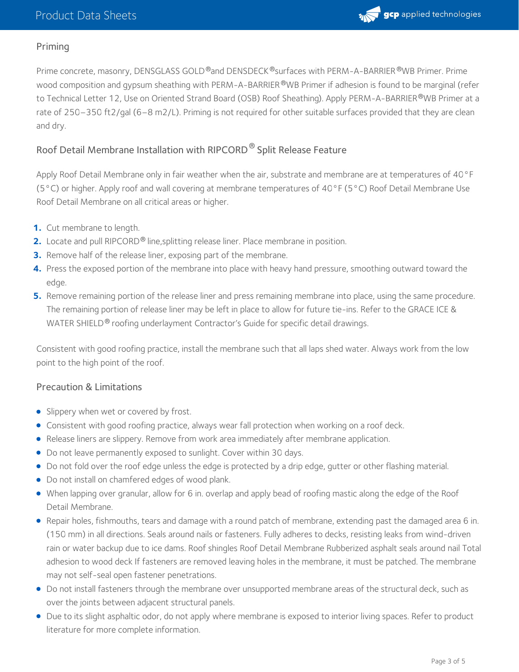

#### Priming

Prime concrete, masonry, DENSGLASS GOLD®and DENSDECK®surfaces with PERM-A-BARRIER®WB Primer. Prime wood composition and gypsum sheathing with PERM-A-BARRIER ®WB Primer if adhesion is found to be marginal (refer to Technical Letter 12, Use on Oriented Strand Board (OSB) Roof [Sheathing\)](https://ca.gcpat.com/en/advantages/products/grace-ice-water-shield-roofing-underlayment/use-oriented-strand-board-osb-roof). Apply PERM-A-BARRIER®WB Primer at a rate of 250–350 ft2/gal (6–8 m2/L). Priming is not required for other suitable surfaces provided that they are clean and dry.

#### Roof Detail Membrane Installation with RIPCORD  $^\circledR$  Split Release Feature

Apply Roof Detail Membrane only in fair weather when the air, substrate and membrane are at temperatures of 40°F (5°C) or higher. Apply roof and wall covering at membrane temperatures of 40°F (5°C) Roof Detail Membrane Use Roof Detail Membrane on all critical areas or higher.

- **1.** Cut membrane to length.
- **2.** Locate and pull RIPCORD<sup>®</sup> line, splitting release liner. Place membrane in position.
- **3.** Remove half of the release liner, exposing part of the membrane.
- Press the exposed portion of the membrane into place with heavy hand pressure, smoothing outward toward the edge. **4.**
- **5.** Remove remaining portion of the release liner and press remaining membrane into place, using the same procedure. The remaining portion of release liner may be left in place to allow for future tie-ins. Refer to the GRACE ICE & WATER SHIELD® roofing underlayment Contractor's Guide for specific detail drawings.

Consistent with good roofing practice, install the membrane such that all laps shed water. Always work from the low point to the high point of the roof.

#### Precaution & Limitations

- **Slippery when wet or covered by frost.**
- Consistent with good roofing practice, always wear fall protection when working on a roof deck.
- Release liners are slippery. Remove from work area immediately after membrane application.
- Do not leave permanently exposed to sunlight. Cover within 30 days.
- Do not fold over the roof edge unless the edge is protected by a drip edge, gutter or other flashing material.
- Do not install on chamfered edges of wood plank.
- When lapping over granular, allow for 6 in. overlap and apply bead of roofing mastic along the edge of the Roof Detail Membrane.
- Repair holes, fishmouths, tears and damage with a round patch of membrane, extending past the damaged area 6 in. (150 mm) in all directions. Seals around nails or fasteners. Fully adheres to decks, resisting leaks from wind-driven rain or water backup due to ice dams. Roof shingles Roof Detail Membrane Rubberized asphalt seals around nail Total adhesion to wood deck If fasteners are removed leaving holes in the membrane, it must be patched. The membrane may not self-seal open fastener penetrations.
- Do not install fasteners through the membrane over unsupported membrane areas of the structural deck, such as over the joints between adjacent structural panels.
- Due to its slight asphaltic odor, do not apply where membrane is exposed to interior living spaces. Refer to product literature for more complete information.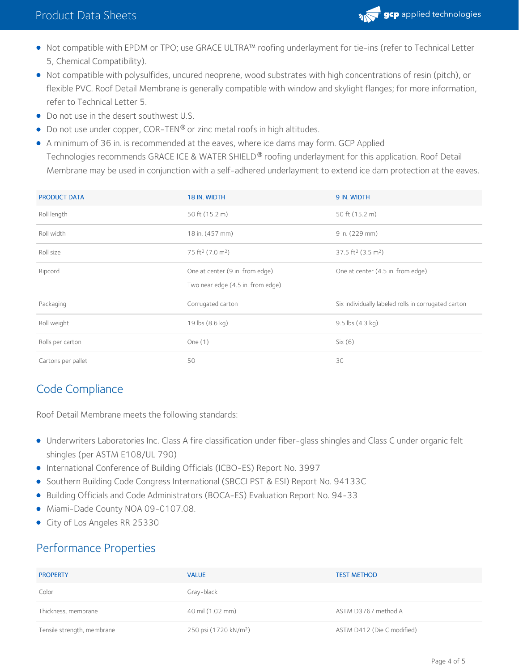

- Not compatible with EPDM or TPO; use GRACE ULTRA™ roofing underlayment for tie-ins (refer to Technical Letter 5, Chemical Compatibility).
- Not compatible with polysulfides, uncured neoprene, wood substrates with high concentrations of resin (pitch), or flexible PVC. Roof Detail Membrane is generally compatible with window and skylight flanges; for more information, refer to Technical Letter 5.
- Do not use in the desert southwest U.S.
- $\bullet$  Do not use under copper, COR-TEN® or zinc metal roofs in high altitudes.
- A minimum of 36 in. is recommended at the eaves, where ice dams may form. GCP Applied Technologies recommends GRACE ICE & WATER SHIELD® roofing underlayment for this application. Roof Detail Membrane may be used in conjunction with a self-adhered underlayment to extend ice dam protection at the eaves.

| <b>PRODUCT DATA</b> | 18 IN. WIDTH                             | 9 IN. WIDTH                                         |
|---------------------|------------------------------------------|-----------------------------------------------------|
| Roll length         | 50 ft (15.2 m)                           | 50 ft (15.2 m)                                      |
| Roll width          | 18 in. (457 mm)                          | 9 in. (229 mm)                                      |
| Roll size           | 75 ft <sup>2</sup> (7.0 m <sup>2</sup> ) | 37.5 ft <sup>2</sup> (3.5 m <sup>2</sup> )          |
| Ripcord             | One at center (9 in. from edge)          | One at center (4.5 in. from edge)                   |
|                     | Two near edge (4.5 in. from edge)        |                                                     |
| Packaging           | Corrugated carton                        | Six individually labeled rolls in corrugated carton |
| Roll weight         | 19 lbs (8.6 kg)                          | $9.5$ lbs $(4.3 \text{ kg})$                        |
| Rolls per carton    | One $(1)$                                | Six(6)                                              |
|                     |                                          |                                                     |

## Code Compliance

Roof Detail Membrane meets the following standards:

- Underwriters Laboratories Inc. Class A fire classification under fiber-glass shingles and Class C under organic felt shingles (per ASTM E108/UL 790)
- International Conference of Building Officials (ICBO-ES) Report No. 3997
- **Southern Building Code Congress International (SBCCI PST & ESI) Report No. 94133C**
- Building Officials and Code Administrators (BOCA-ES) Evaluation Report No. 94-33
- $\bullet$  Miami-Dade County NOA 09-0107.08.
- City of Los Angeles RR 25330

## Performance Properties

| <b>PROPERTY</b>            | <b>VALUE</b>                      | <b>TEST METHOD</b>         |
|----------------------------|-----------------------------------|----------------------------|
| Color                      | Gray-black                        |                            |
| Thickness, membrane        | 40 mil (1.02 mm)                  | ASTM D3767 method A        |
| Tensile strength, membrane | 250 psi (1720 kN/m <sup>2</sup> ) | ASTM D412 (Die C modified) |